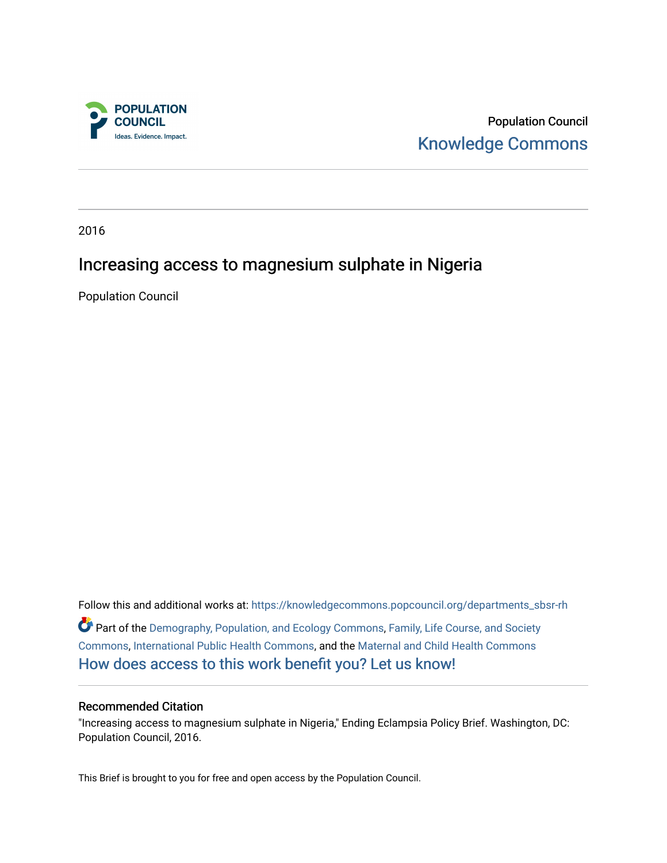

Population Council [Knowledge Commons](https://knowledgecommons.popcouncil.org/) 

2016

### Increasing access to magnesium sulphate in Nigeria

Population Council

Follow this and additional works at: [https://knowledgecommons.popcouncil.org/departments\\_sbsr-rh](https://knowledgecommons.popcouncil.org/departments_sbsr-rh?utm_source=knowledgecommons.popcouncil.org%2Fdepartments_sbsr-rh%2F669&utm_medium=PDF&utm_campaign=PDFCoverPages)  Part of the [Demography, Population, and Ecology Commons,](https://network.bepress.com/hgg/discipline/418?utm_source=knowledgecommons.popcouncil.org%2Fdepartments_sbsr-rh%2F669&utm_medium=PDF&utm_campaign=PDFCoverPages) [Family, Life Course, and Society](https://network.bepress.com/hgg/discipline/419?utm_source=knowledgecommons.popcouncil.org%2Fdepartments_sbsr-rh%2F669&utm_medium=PDF&utm_campaign=PDFCoverPages)  [Commons](https://network.bepress.com/hgg/discipline/419?utm_source=knowledgecommons.popcouncil.org%2Fdepartments_sbsr-rh%2F669&utm_medium=PDF&utm_campaign=PDFCoverPages), [International Public Health Commons,](https://network.bepress.com/hgg/discipline/746?utm_source=knowledgecommons.popcouncil.org%2Fdepartments_sbsr-rh%2F669&utm_medium=PDF&utm_campaign=PDFCoverPages) and the [Maternal and Child Health Commons](https://network.bepress.com/hgg/discipline/745?utm_source=knowledgecommons.popcouncil.org%2Fdepartments_sbsr-rh%2F669&utm_medium=PDF&utm_campaign=PDFCoverPages) [How does access to this work benefit you? Let us know!](https://pcouncil.wufoo.com/forms/open-access-to-population-council-research/)

#### Recommended Citation

"Increasing access to magnesium sulphate in Nigeria," Ending Eclampsia Policy Brief. Washington, DC: Population Council, 2016.

This Brief is brought to you for free and open access by the Population Council.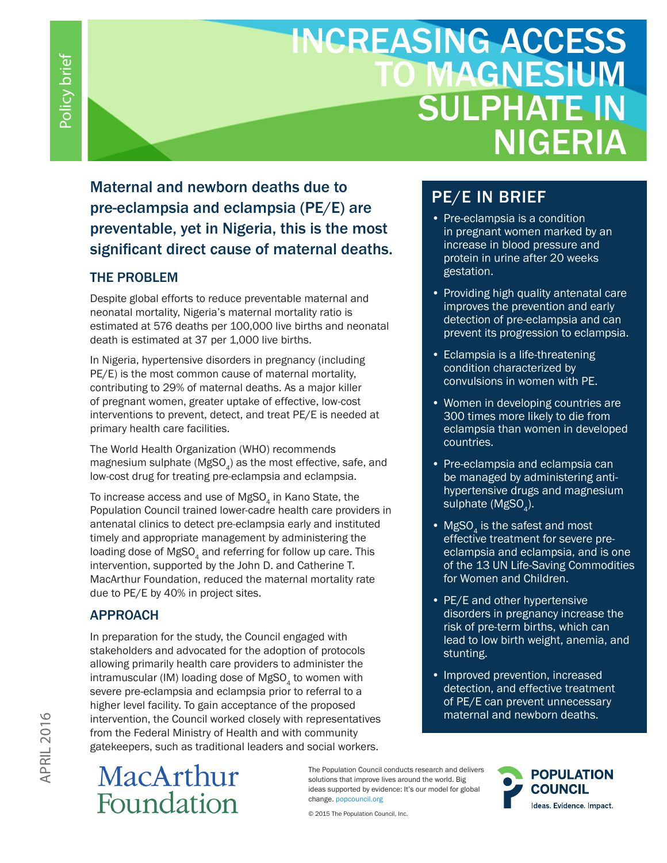# INCREASING ACCESS **MAGNESIUM** SULPHATE IN NIGERIA

Maternal and newborn deaths due to pre-eclampsia and eclampsia (PE/E) are preventable, yet in Nigeria, this is the most significant direct cause of maternal deaths.

### THE PROBLEM

Despite global efforts to reduce preventable maternal and neonatal mortality, Nigeria's maternal mortality ratio is estimated at 576 deaths per 100,000 live births and neonatal death is estimated at 37 per 1,000 live births.

In Nigeria, hypertensive disorders in pregnancy (including PE/E) is the most common cause of maternal mortality, contributing to 29% of maternal deaths. As a major killer of pregnant women, greater uptake of effective, low-cost interventions to prevent, detect, and treat PE/E is needed at primary health care facilities.

The World Health Organization (WHO) recommends magnesium sulphate (MgSO $_A$ ) as the most effective, safe, and low-cost drug for treating pre-eclampsia and eclampsia.

To increase access and use of  $MgSO<sub>4</sub>$  in Kano State, the Population Council trained lower-cadre health care providers in antenatal clinics to detect pre-eclampsia early and instituted timely and appropriate management by administering the loading dose of MgSO<sub>4</sub> and referring for follow up care. This intervention, supported by the John D. and Catherine T. MacArthur Foundation, reduced the maternal mortality rate due to PE/E by 40% in project sites.

### APPROACH

In preparation for the study, the Council engaged with stakeholders and advocated for the adoption of protocols allowing primarily health care providers to administer the intramuscular (IM) loading dose of MgSO<sub>4</sub> to women with severe pre-eclampsia and eclampsia prior to referral to a higher level facility. To gain acceptance of the proposed intervention, the Council worked closely with representatives from the Federal Ministry of Health and with community gatekeepers, such as traditional leaders and social workers.

# MacArthur Foundation

The Population Council conducts research and delivers solutions that improve lives around the world. Big ideas supported by evidence: It's our model for global change. popcouncil.org

© 2015 The Population Council, Inc.

## PE/E IN BRIEF

- Pre-eclampsia is a condition in pregnant women marked by an increase in blood pressure and protein in urine after 20 weeks gestation.
- Providing high quality antenatal care improves the prevention and early detection of pre-eclampsia and can prevent its progression to eclampsia.
- Eclampsia is a life-threatening condition characterized by convulsions in women with PE.
- Women in developing countries are 300 times more likely to die from eclampsia than women in developed countries.
- Pre-eclampsia and eclampsia can be managed by administering antihypertensive drugs and magnesium sulphate (MgSO<sub>4</sub>).
- $MgSO<sub>4</sub>$  is the safest and most effective treatment for severe preeclampsia and eclampsia, and is one of the 13 UN Life-Saving Commodities for Women and Children.
- PE/E and other hypertensive disorders in pregnancy increase the risk of pre-term births, which can lead to low birth weight, anemia, and stunting.
- Improved prevention, increased detection, and effective treatment of PE/E can prevent unnecessary maternal and newborn deaths.